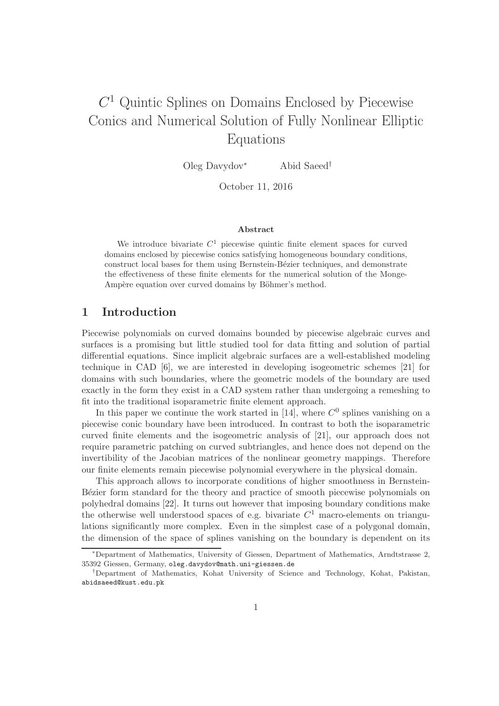# $C<sup>1</sup>$  Quintic Splines on Domains Enclosed by Piecewise Conics and Numerical Solution of Fully Nonlinear Elliptic Equations

Oleg Davydov<sup>∗</sup> Abid Saeed†

October 11, 2016

#### Abstract

We introduce bivariate  $C<sup>1</sup>$  piecewise quintic finite element spaces for curved domains enclosed by piecewise conics satisfying homogeneous boundary conditions, construct local bases for them using Bernstein-Bézier techniques, and demonstrate the effectiveness of these finite elements for the numerical solution of the Monge-Ampère equation over curved domains by Böhmer's method.

## 1 Introduction

Piecewise polynomials on curved domains bounded by piecewise algebraic curves and surfaces is a promising but little studied tool for data fitting and solution of partial differential equations. Since implicit algebraic surfaces are a well-established modeling technique in CAD [6], we are interested in developing isogeometric schemes [21] for domains with such boundaries, where the geometric models of the boundary are used exactly in the form they exist in a CAD system rather than undergoing a remeshing to fit into the traditional isoparametric finite element approach.

In this paper we continue the work started in [14], where  $C^0$  splines vanishing on a piecewise conic boundary have been introduced. In contrast to both the isoparametric curved finite elements and the isogeometric analysis of [21], our approach does not require parametric patching on curved subtriangles, and hence does not depend on the invertibility of the Jacobian matrices of the nonlinear geometry mappings. Therefore our finite elements remain piecewise polynomial everywhere in the physical domain.

This approach allows to incorporate conditions of higher smoothness in Bernstein-Bézier form standard for the theory and practice of smooth piecewise polynomials on polyhedral domains [22]. It turns out however that imposing boundary conditions make the otherwise well understood spaces of e.g. bivariate  $C<sup>1</sup>$  macro-elements on triangulations significantly more complex. Even in the simplest case of a polygonal domain, the dimension of the space of splines vanishing on the boundary is dependent on its

<sup>∗</sup>Department of Mathematics, University of Giessen, Department of Mathematics, Arndtstrasse 2, 35392 Giessen, Germany, oleg.davydov@math.uni-giessen.de

<sup>†</sup>Department of Mathematics, Kohat University of Science and Technology, Kohat, Pakistan, abidsaeed@kust.edu.pk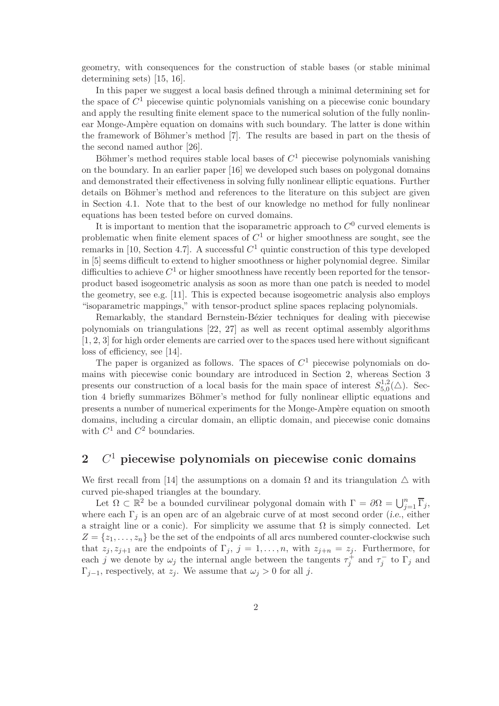geometry, with consequences for the construction of stable bases (or stable minimal determining sets) [15, 16].

In this paper we suggest a local basis defined through a minimal determining set for the space of  $C^1$  piecewise quintic polynomials vanishing on a piecewise conic boundary and apply the resulting finite element space to the numerical solution of the fully nonlinear Monge-Ampère equation on domains with such boundary. The latter is done within the framework of Böhmer's method [7]. The results are based in part on the thesis of the second named author [26].

Böhmer's method requires stable local bases of  $C<sup>1</sup>$  piecewise polynomials vanishing on the boundary. In an earlier paper [16] we developed such bases on polygonal domains and demonstrated their effectiveness in solving fully nonlinear elliptic equations. Further details on Böhmer's method and references to the literature on this subject are given in Section 4.1. Note that to the best of our knowledge no method for fully nonlinear equations has been tested before on curved domains.

It is important to mention that the isoparametric approach to  $C^0$  curved elements is problematic when finite element spaces of  $C<sup>1</sup>$  or higher smoothness are sought, see the remarks in [10, Section 4.7]. A successful  $C<sup>1</sup>$  quintic construction of this type developed in [5] seems difficult to extend to higher smoothness or higher polynomial degree. Similar difficulties to achieve  $C^1$  or higher smoothness have recently been reported for the tensorproduct based isogeometric analysis as soon as more than one patch is needed to model the geometry, see e.g. [11]. This is expected because isogeometric analysis also employs "isoparametric mappings," with tensor-product spline spaces replacing polynomials.

Remarkably, the standard Bernstein-Bézier techniques for dealing with piecewise polynomials on triangulations [22, 27] as well as recent optimal assembly algorithms [1, 2, 3] for high order elements are carried over to the spaces used here without significant loss of efficiency, see [14].

The paper is organized as follows. The spaces of  $C<sup>1</sup>$  piecewise polynomials on domains with piecewise conic boundary are introduced in Section 2, whereas Section 3 presents our construction of a local basis for the main space of interest  $S_{5,0}^{1,2}$  $_{5,0}^{1,2}(\triangle)$ . Section 4 briefly summarizes Böhmer's method for fully nonlinear elliptic equations and presents a number of numerical experiments for the Monge-Ampère equation on smooth domains, including a circular domain, an elliptic domain, and piecewise conic domains with  $C^1$  and  $C^2$  boundaries.

## $2 \quad C<sup>1</sup>$  piecewise polynomials on piecewise conic domains

We first recall from [14] the assumptions on a domain  $\Omega$  and its triangulation  $\Delta$  with curved pie-shaped triangles at the boundary.

Let  $\Omega \subset \mathbb{R}^2$  be a bounded curvilinear polygonal domain with  $\Gamma = \partial \Omega = \bigcup_{j=1}^n \overline{\Gamma}_j$ , where each  $\Gamma_i$  is an open arc of an algebraic curve of at most second order (i.e., either a straight line or a conic). For simplicity we assume that  $\Omega$  is simply connected. Let  $Z = \{z_1, \ldots, z_n\}$  be the set of the endpoints of all arcs numbered counter-clockwise such that  $z_j, z_{j+1}$  are the endpoints of  $\Gamma_j$ ,  $j = 1, \ldots, n$ , with  $z_{j+n} = z_j$ . Furthermore, for each j we denote by  $\omega_j$  the internal angle between the tangents  $\tau_j^+$  and  $\tau_j^-$  to  $\Gamma_j$  and  $\Gamma_{j-1}$ , respectively, at  $z_j$ . We assume that  $\omega_j > 0$  for all j.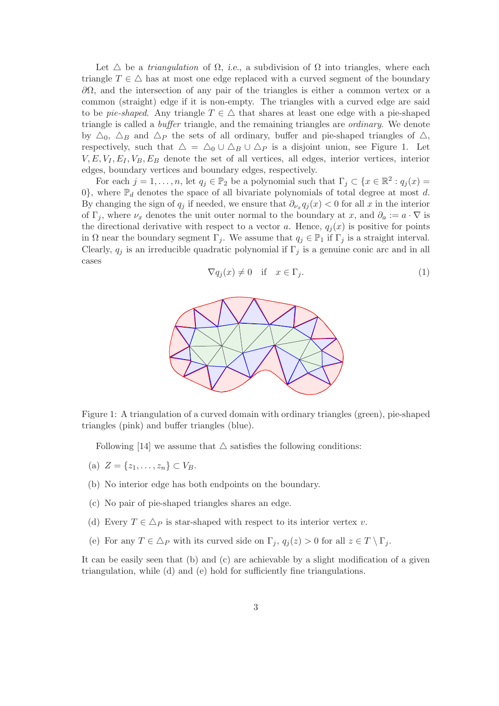Let  $\triangle$  be a *triangulation* of  $\Omega$ , *i.e.*, a subdivision of  $\Omega$  into triangles, where each triangle  $T \in \Delta$  has at most one edge replaced with a curved segment of the boundary  $\partial Ω$ , and the intersection of any pair of the triangles is either a common vertex or a common (straight) edge if it is non-empty. The triangles with a curved edge are said to be pie-shaped. Any triangle  $T \in \Delta$  that shares at least one edge with a pie-shaped triangle is called a buffer triangle, and the remaining triangles are ordinary. We denote by  $\Delta_0$ ,  $\Delta_B$  and  $\Delta_P$  the sets of all ordinary, buffer and pie-shaped triangles of  $\Delta$ , respectively, such that  $\Delta = \Delta_0 \cup \Delta_B \cup \Delta_P$  is a disjoint union, see Figure 1. Let  $V, E, V_I, E_I, V_B, E_B$  denote the set of all vertices, all edges, interior vertices, interior edges, boundary vertices and boundary edges, respectively.

For each  $j = 1, ..., n$ , let  $q_j \in \mathbb{P}_2$  be a polynomial such that  $\Gamma_j \subset \{x \in \mathbb{R}^2 : q_j(x) =$ 0}, where  $\mathbb{P}_d$  denotes the space of all bivariate polynomials of total degree at most d. By changing the sign of  $q_j$  if needed, we ensure that  $\partial_{\nu_x} q_j(x) < 0$  for all x in the interior of  $\Gamma_i$ , where  $\nu_x$  denotes the unit outer normal to the boundary at x, and  $\partial_a := a \cdot \nabla$  is the directional derivative with respect to a vector a. Hence,  $q_i(x)$  is positive for points in  $\Omega$  near the boundary segment  $\Gamma_j$ . We assume that  $q_j \in \mathbb{P}_1$  if  $\Gamma_j$  is a straight interval. Clearly,  $q_j$  is an irreducible quadratic polynomial if  $\Gamma_j$  is a genuine conic arc and in all cases

$$
\nabla q_j(x) \neq 0 \quad \text{if} \quad x \in \Gamma_j. \tag{1}
$$



Figure 1: A triangulation of a curved domain with ordinary triangles (green), pie-shaped triangles (pink) and buffer triangles (blue).

Following [14] we assume that  $\triangle$  satisfies the following conditions:

- (a)  $Z = \{z_1, \ldots, z_n\} \subset V_B$ .
- (b) No interior edge has both endpoints on the boundary.
- (c) No pair of pie-shaped triangles shares an edge.
- (d) Every  $T \in \Delta_P$  is star-shaped with respect to its interior vertex v.
- (e) For any  $T \in \Delta_P$  with its curved side on  $\Gamma_i$ ,  $q_i(z) > 0$  for all  $z \in T \setminus \Gamma_i$ .

It can be easily seen that (b) and (c) are achievable by a slight modification of a given triangulation, while (d) and (e) hold for sufficiently fine triangulations.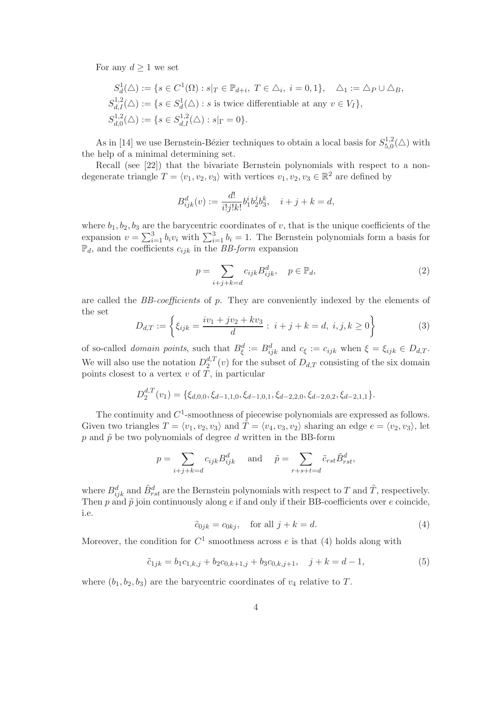For any  $d \geq 1$  we set

$$
S_d^1(\Delta) := \{ s \in C^1(\Omega) : s|_T \in \mathbb{P}_{d+i}, T \in \Delta_i, i = 0, 1 \}, \quad \Delta_1 := \Delta_P \cup \Delta_B,
$$
  
\n
$$
S_{d,I}^{1,2}(\Delta) := \{ s \in S_d^1(\Delta) : s \text{ is twice differentiable at any } v \in V_I \},
$$
  
\n
$$
S_{d,0}^{1,2}(\Delta) := \{ s \in S_{d,I}^{1,2}(\Delta) : s|_{\Gamma} = 0 \}.
$$

As in [14] we use Bernstein-Bézier techniques to obtain a local basis for  $S_{5,0}^{1,2}$  $_{5,0}^{(1,2}(\triangle)$  with the help of a minimal determining set.

Recall (see [22]) that the bivariate Bernstein polynomials with respect to a nondegenerate triangle  $T = \langle v_1, v_2, v_3 \rangle$  with vertices  $v_1, v_2, v_3 \in \mathbb{R}^2$  are defined by

$$
B_{ijk}^d(v) := \frac{d!}{i!j!k!} b_1^i b_2^j b_3^k, \quad i+j+k=d,
$$

where  $b_1, b_2, b_3$  are the barycentric coordinates of v, that is the unique coefficients of the expansion  $v = \sum_{i=1}^{3} b_i v_i$  with  $\sum_{i=1}^{3} b_i = 1$ . The Bernstein polynomials form a basis for  $\mathbb{P}_d$ , and the coefficients  $c_{ijk}$  in the BB-form expansion

$$
p = \sum_{i+j+k=d} c_{ijk} B_{ijk}^d, \quad p \in \mathbb{P}_d,
$$
\n<sup>(2)</sup>

are called the BB-coefficients of p. They are conveniently indexed by the elements of the set

$$
D_{d,T} := \left\{ \xi_{ijk} = \frac{iv_1 + jv_2 + kv_3}{d} : i + j + k = d, i, j, k \ge 0 \right\}
$$
 (3)

of so-called *domain points*, such that  $B_{\xi}^d := B_{ijk}^d$  and  $c_{\xi} := c_{ijk}$  when  $\xi = \xi_{ijk} \in D_{d,T}$ . We will also use the notation  $D_2^{d,T}$  $2^{a,1}(v)$  for the subset of  $D_{d,T}$  consisting of the six domain points closest to a vertex  $v$  of  $T$ , in particular

$$
D_2^{d,T}(v_1) = \{\xi_{d,0,0}, \xi_{d-1,1,0}, \xi_{d-1,0,1}, \xi_{d-2,2,0}, \xi_{d-2,0,2}, \xi_{d-2,1,1}\}.
$$

The continuity and  $C^1$ -smoothness of piecewise polynomials are expressed as follows. Given two triangles  $T = \langle v_1, v_2, v_3 \rangle$  and  $\tilde{T} = \langle v_4, v_3, v_2 \rangle$  sharing an edge  $e = \langle v_2, v_3 \rangle$ , let p and  $\tilde{p}$  be two polynomials of degree d written in the BB-form

$$
p = \sum_{i+j+k=d} c_{ijk} B_{ijk}^d \quad \text{and} \quad \tilde{p} = \sum_{r+s+t=d} \tilde{c}_{rst} \tilde{B}_{rst}^d,
$$

where  $B_{ijk}^d$  and  $\tilde{B}_{rst}^d$  are the Bernstein polynomials with respect to T and  $\tilde{T}$ , respectively. Then  $p$  and  $\tilde{p}$  join continuously along  $e$  if and only if their BB-coefficients over  $e$  coincide, i.e.

$$
\tilde{c}_{0jk} = c_{0kj}, \quad \text{for all } j + k = d. \tag{4}
$$

Moreover, the condition for  $C^1$  smoothness across e is that (4) holds along with

$$
\tilde{c}_{1jk} = b_1 c_{1,k,j} + b_2 c_{0,k+1,j} + b_3 c_{0,k,j+1}, \quad j+k = d-1,\tag{5}
$$

where  $(b_1, b_2, b_3)$  are the barycentric coordinates of  $v_4$  relative to T.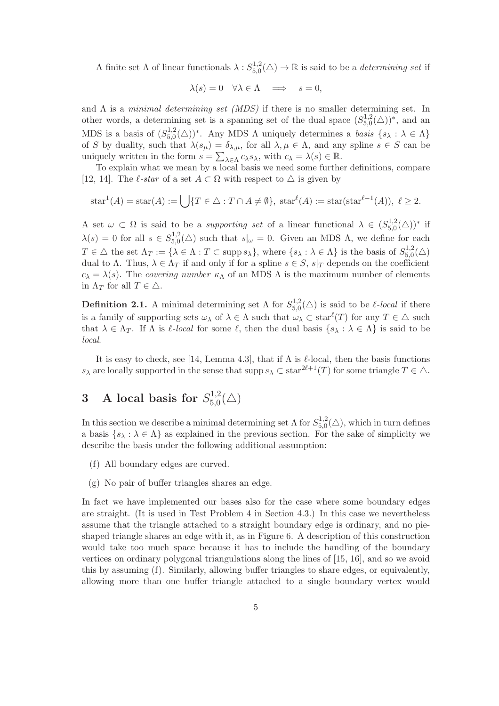A finite set  $\Lambda$  of linear functionals  $\lambda: S_{5,0}^{1,2}$  $_{5,0}^{1,2}(\triangle) \rightarrow \mathbb{R}$  is said to be a *determining set* if

$$
\lambda(s) = 0 \quad \forall \lambda \in \Lambda \quad \Longrightarrow \quad s = 0,
$$

and  $\Lambda$  is a *minimal determining set (MDS)* if there is no smaller determining set. In other words, a determining set is a spanning set of the dual space  $(S_{5.0}^{1,2})$  $_{5,0}^{1,2}(\triangle))^*$ , and an MDS is a basis of  $(S_{5,0}^{1,2})$  $\mathcal{L}_{5,0}^{1,2}(\triangle)$ <sup>\*</sup>. Any MDS  $\Lambda$  uniquely determines a basis  $\{s_{\lambda} : \lambda \in \Lambda\}$ of S by duality, such that  $\lambda(s_\mu) = \delta_{\lambda,\mu}$ , for all  $\lambda,\mu \in \Lambda$ , and any spline  $s \in S$  can be uniquely written in the form  $s = \sum_{\lambda \in \Lambda} c_{\lambda} s_{\lambda}$ , with  $c_{\lambda} = \lambda(s) \in \mathbb{R}$ .

To explain what we mean by a local basis we need some further definitions, compare [12, 14]. The  $\ell$ -star of a set  $A \subset \Omega$  with respect to  $\triangle$  is given by

$$
\text{star}^1(A) = \text{star}(A) := \bigcup \{ T \in \triangle : T \cap A \neq \emptyset \}, \ \text{star}^{\ell}(A) := \text{star}(\text{star}^{\ell-1}(A)), \ \ell \geq 2.
$$

A set  $\omega \subset \Omega$  is said to be a *supporting set* of a linear functional  $\lambda \in (S_{5,0}^{1,2})$  $^{1,2}_{5,0}(\triangle))^*$  if  $\lambda(s) = 0$  for all  $s \in S_{5,0}^{1,2}$  $5.5^{1,2}_{0}(\triangle)$  such that  $s|_{\omega}=0$ . Given an MDS  $\Lambda$ , we define for each  $T \in \triangle$  the set  $\Lambda_T := \{ \lambda \in \Lambda : T \subset \text{supp } s_\lambda \}$ , where  $\{ s_\lambda : \lambda \in \Lambda \}$  is the basis of  $S_{5,0}^{1,2}$  $_{5,0}^{1,2}(\triangle)$ dual to Λ. Thus,  $\lambda \in \Lambda_T$  if and only if for a spline  $s \in S$ ,  $s|_T$  depends on the coefficient  $c_{\lambda} = \lambda(s)$ . The covering number  $\kappa_{\Lambda}$  of an MDS  $\Lambda$  is the maximum number of elements in  $\Lambda_T$  for all  $T \in \Delta$ .

**Definition 2.1.** A minimal determining set  $\Lambda$  for  $S_{5,0}^{1,2}$  $_{5,0}^{1,2}(\triangle)$  is said to be  $\ell$ -local if there is a family of supporting sets  $\omega_{\lambda}$  of  $\lambda \in \Lambda$  such that  $\omega_{\lambda} \subset \text{star}^{\ell}(T)$  for any  $T \in \Delta$  such that  $\lambda \in \Lambda_T$ . If  $\Lambda$  is  $\ell$ -local for some  $\ell$ , then the dual basis  $\{s_\lambda : \lambda \in \Lambda\}$  is said to be local.

It is easy to check, see [14, Lemma 4.3], that if  $\Lambda$  is  $\ell$ -local, then the basis functions  $s_\lambda$  are locally supported in the sense that supp  $s_\lambda \subset \text{star}^{2\ell+1}(T)$  for some triangle  $T \in \Delta$ .

#### 3 A local basis for  $S_{50}^{1,2}$  $_{5,0}^{1,2}(\triangle)$

In this section we describe a minimal determining set  $\Lambda$  for  $S_{5,0}^{1,2}$  $_{5,0}^{1,2}(\triangle)$ , which in turn defines a basis  $\{s_\lambda : \lambda \in \Lambda\}$  as explained in the previous section. For the sake of simplicity we describe the basis under the following additional assumption:

- (f) All boundary edges are curved.
- (g) No pair of buffer triangles shares an edge.

In fact we have implemented our bases also for the case where some boundary edges are straight. (It is used in Test Problem 4 in Section 4.3.) In this case we nevertheless assume that the triangle attached to a straight boundary edge is ordinary, and no pieshaped triangle shares an edge with it, as in Figure 6. A description of this construction would take too much space because it has to include the handling of the boundary vertices on ordinary polygonal triangulations along the lines of [15, 16], and so we avoid this by assuming (f). Similarly, allowing buffer triangles to share edges, or equivalently, allowing more than one buffer triangle attached to a single boundary vertex would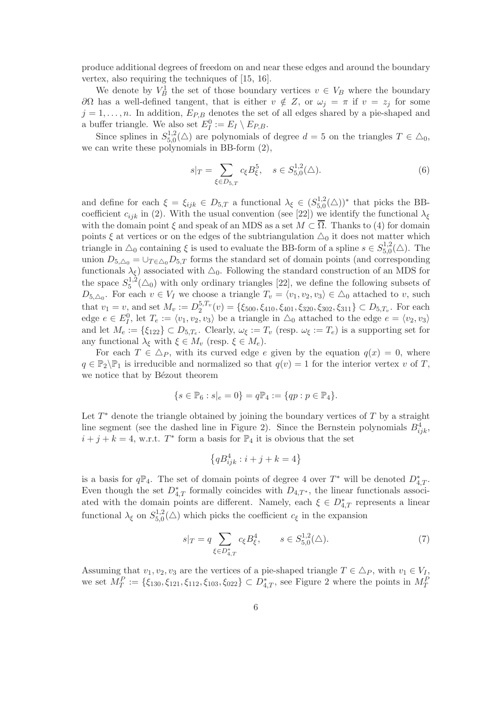produce additional degrees of freedom on and near these edges and around the boundary vertex, also requiring the techniques of [15, 16].

We denote by  $V_B^1$  the set of those boundary vertices  $v \in V_B$  where the boundary  $∂Ω$  has a well-defined tangent, that is either  $v \notin Z$ , or  $ω<sub>j</sub> = π$  if  $v = z<sub>j</sub>$  for some  $j = 1, \ldots, n$ . In addition,  $E_{P,B}$  denotes the set of all edges shared by a pie-shaped and a buffer triangle. We also set  $E_I^0 := E_I \setminus E_{P,B}$ .

Since splines in  $S_{5,0}^{1,2}$  $5,0<sub>5,0</sub>(\triangle)$  are polynomials of degree  $d=5$  on the triangles  $T \in \triangle_0$ , we can write these polynomials in BB-form (2),

$$
s|_{T} = \sum_{\xi \in D_{5,T}} c_{\xi} B_{\xi}^{5}, \quad s \in S_{5,0}^{1,2}(\triangle). \tag{6}
$$

and define for each  $\xi = \xi_{ijk} \in D_{5,T}$  a functional  $\lambda_{\xi} \in (S_{5,0}^{1,2})$  $^{1,2}_{5,0}(\triangle)$ <sup>\*</sup> that picks the BBcoefficient  $c_{ijk}$  in (2). With the usual convention (see [22]) we identify the functional  $\lambda_{\xi}$ with the domain point  $\xi$  and speak of an MDS as a set  $M \subset \overline{\Omega}$ . Thanks to (4) for domain points  $\xi$  at vertices or on the edges of the subtriangulation  $\Delta_0$  it does not matter which triangle in  $\triangle_0$  containing  $\xi$  is used to evaluate the BB-form of a spline  $s \in S_{5,0}^{1,2}$  $_{5,0}^{1,2}(\triangle)$ . The union  $D_{5,\Delta_0} = \bigcup_{T \in \Delta_0} D_{5,T}$  forms the standard set of domain points (and corresponding functionals  $\lambda_{\xi}$ ) associated with  $\Delta_0$ . Following the standard construction of an MDS for the space  $S_5^{1,2}$  $5^{1,2}(\Delta_0)$  with only ordinary triangles [22], we define the following subsets of  $D_{5,\Delta_0}$ . For each  $v \in V_I$  we choose a triangle  $T_v = \langle v_1, v_2, v_3 \rangle \in \Delta_0$  attached to v, such that  $v_1 = v$ , and set  $M_v := D_2^{5,T_v}$  $Q_2^{3,1,v}(v) = \{\xi_{500}, \xi_{410}, \xi_{401}, \xi_{320}, \xi_{302}, \xi_{311}\} \subset D_{5,T_v}$ . For each edge  $e \in E_I^0$ , let  $T_e := \langle v_1, v_2, v_3 \rangle$  be a triangle in  $\triangle_0$  attached to the edge  $e = \langle v_2, v_3 \rangle$ and let  $M_e := \{\xi_{122}\} \subset D_{5,T_e}$ . Clearly,  $\omega_{\xi} := T_v$  (resp.  $\omega_{\xi} := T_e$ ) is a supporting set for any functional  $\lambda_{\xi}$  with  $\xi \in M_v$  (resp.  $\xi \in M_e$ ).

For each  $T \in \Delta_P$ , with its curved edge e given by the equation  $q(x) = 0$ , where  $q \in \mathbb{P}_2 \backslash \mathbb{P}_1$  is irreducible and normalized so that  $q(v) = 1$  for the interior vertex v of T, we notice that by Bézout theorem

$$
\{s \in \mathbb{P}_6 : s|_e = 0\} = q\mathbb{P}_4 := \{qp : p \in \mathbb{P}_4\}.
$$

Let  $T^*$  denote the triangle obtained by joining the boundary vertices of  $T$  by a straight line segment (see the dashed line in Figure 2). Since the Bernstein polynomials  $B_{ijk}^4$ ,  $i + j + k = 4$ , w.r.t.  $T^*$  form a basis for  $\mathbb{P}_4$  it is obvious that the set

$$
\left\{qB_{ijk}^4:i+j+k=4\right\}
$$

is a basis for  $q\mathbb{P}_4$ . The set of domain points of degree 4 over  $T^*$  will be denoted  $D_{4,T}^*$ . Even though the set  $D_{4,T}^*$  formally coincides with  $D_{4,T^*}$ , the linear functionals associated with the domain points are different. Namely, each  $\xi \in D_{4,T}^*$  represents a linear functional  $\lambda_{\xi}$  on  $S_{5,0}^{1,2}$  $5.5 \times 5.0$  which picks the coefficient  $c_{\xi}$  in the expansion

$$
s|_{T} = q \sum_{\xi \in D_{4,T}^*} c_{\xi} B_{\xi}^4, \qquad s \in S_{5,0}^{1,2}(\triangle). \tag{7}
$$

Assuming that  $v_1, v_2, v_3$  are the vertices of a pie-shaped triangle  $T \in \Delta_P$ , with  $v_1 \in V_I$ , we set  $M_T^P := \{\xi_{130}, \xi_{121}, \xi_{112}, \xi_{103}, \xi_{022}\} \subset D_{4,T}^*$ , see Figure 2 where the points in  $M_T^P$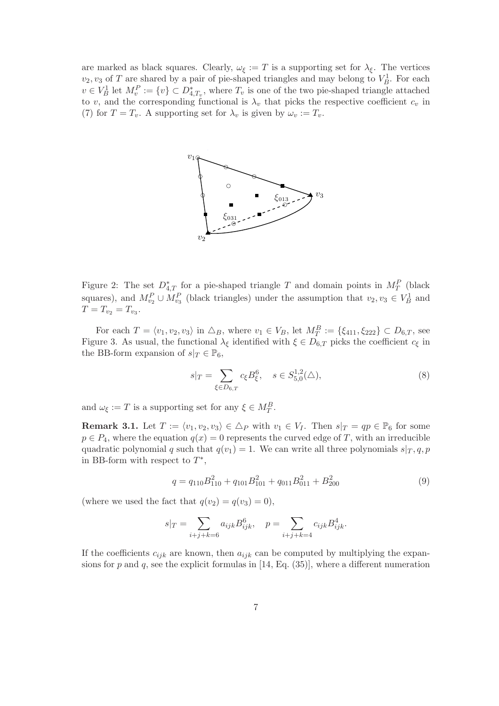are marked as black squares. Clearly,  $\omega_{\xi} := T$  is a supporting set for  $\lambda_{\xi}$ . The vertices  $v_2, v_3$  of T are shared by a pair of pie-shaped triangles and may belong to  $V_B^1$ . For each  $v \in V_B^1$  let  $M_v^P := \{v\} \subset D_{4,T_v}^*$ , where  $T_v$  is one of the two pie-shaped triangle attached to v, and the corresponding functional is  $\lambda_v$  that picks the respective coefficient  $c_v$  in (7) for  $T = T_v$ . A supporting set for  $\lambda_v$  is given by  $\omega_v := T_v$ .



Figure 2: The set  $D_{4,T}^*$  for a pie-shaped triangle T and domain points in  $M_T^P$  (black squares), and  $M_{v_2}^P \cup M_{v_3}^P$  (black triangles) under the assumption that  $v_2, v_3 \in V_B^1$  and  $T = T_{v_2} = T_{v_3}.$ 

For each  $T = \langle v_1, v_2, v_3 \rangle$  in  $\triangle_B$ , where  $v_1 \in V_B$ , let  $M_T^B := {\{\xi_{411}, \xi_{222}\}} \subset D_{6,T}$ , see Figure 3. As usual, the functional  $\lambda_{\xi}$  identified with  $\xi \in D_{6,T}$  picks the coefficient  $c_{\xi}$  in the BB-form expansion of  $s|_T \in \mathbb{P}_6$ ,

$$
s|_{T} = \sum_{\xi \in D_{6,T}} c_{\xi} B_{\xi}^{6}, \quad s \in S_{5,0}^{1,2}(\triangle),
$$
\n(8)

and  $\omega_{\xi} := T$  is a supporting set for any  $\xi \in M_T^B$ .

**Remark 3.1.** Let  $T := \langle v_1, v_2, v_3 \rangle \in \Delta_P$  with  $v_1 \in V_I$ . Then  $s|_T = qp \in \mathbb{P}_6$  for some  $p \in P_4$ , where the equation  $q(x) = 0$  represents the curved edge of T, with an irreducible quadratic polynomial q such that  $q(v_1) = 1$ . We can write all three polynomials  $s|_T, q, p$ in BB-form with respect to  $T^*$ ,

$$
q = q_{110}B_{110}^2 + q_{101}B_{101}^2 + q_{011}B_{011}^2 + B_{200}^2
$$
\n
$$
\tag{9}
$$

(where we used the fact that  $q(v_2) = q(v_3) = 0$ ),

$$
s|_{T} = \sum_{i+j+k=6} a_{ijk} B_{ijk}^{6}, \quad p = \sum_{i+j+k=4} c_{ijk} B_{ijk}^{4}.
$$

If the coefficients  $c_{ijk}$  are known, then  $a_{ijk}$  can be computed by multiplying the expansions for p and q, see the explicit formulas in  $[14, Eq. (35)]$ , where a different numeration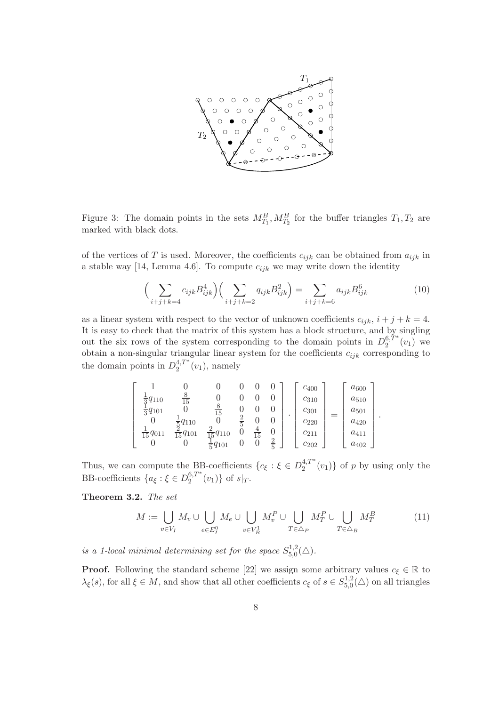

Figure 3: The domain points in the sets  $M_{T_1}^B, M_{T_2}^B$  for the buffer triangles  $T_1, T_2$  are marked with black dots.

of the vertices of T is used. Moreover, the coefficients  $c_{ijk}$  can be obtained from  $a_{ijk}$  in a stable way [14, Lemma 4.6]. To compute  $c_{ijk}$  we may write down the identity

$$
\left(\sum_{i+j+k=4} c_{ijk} B_{ijk}^4\right) \left(\sum_{i+j+k=2} q_{ijk} B_{ijk}^2\right) = \sum_{i+j+k=6} a_{ijk} B_{ijk}^6 \tag{10}
$$

.

as a linear system with respect to the vector of unknown coefficients  $c_{ijk}$ ,  $i + j + k = 4$ . It is easy to check that the matrix of this system has a block structure, and by singling out the six rows of the system corresponding to the domain points in  $D_2^{6,1}$ <sup>\*</sup>  $_{2}^{0,1}(v_{1})$  we obtain a non-singular triangular linear system for the coefficients  $c_{ijk}$  corresponding to the domain points in  $D_2^{4,T*}$  $2^{4,1}$  (*v*<sub>1</sub>), namely

$$
\begin{bmatrix} 1 & 0 & 0 & 0 & 0 & 0 \ \frac{1}{3}q_{110} & \frac{8}{15} & 0 & 0 & 0 & 0 \ \frac{1}{3}q_{101} & 0 & \frac{8}{15} & 0 & 0 & 0 \ 0 & \frac{1}{5}q_{110} & 0 & \frac{2}{5} & 0 & 0 \ \frac{1}{15}q_{011} & \frac{2}{15}q_{101} & \frac{2}{15}q_{110} & 0 & \frac{4}{5} & 0 \ 0 & 0 & \frac{1}{5}q_{101} & 0 & 0 & \frac{4}{5} \end{bmatrix} \cdot \begin{bmatrix} c_{400} \\ c_{310} \\ c_{301} \\ c_{220} \\ c_{211} \\ c_{211} \\ c_{202} \end{bmatrix} = \begin{bmatrix} a_{600} \\ a_{510} \\ a_{420} \\ a_{411} \\ a_{411} \\ a_{402} \end{bmatrix}
$$

Thus, we can compute the BB-coefficients  $\{c_{\xi} : \xi \in D_2^{4,T^*}\}\$  $\binom{4}{2}$   $(v_1)$  of p by using only the BB-coefficients  $\{a_{\xi} : \xi \in D_2^{6,T^*}\}$  $_{2}^{0,1}(v_{1})\}$  of  $s|_{T}$ .

Theorem 3.2. The set

$$
M := \bigcup_{v \in V_I} M_v \cup \bigcup_{e \in E_I^0} M_e \cup \bigcup_{v \in V_B^1} M_v^P \cup \bigcup_{T \in \Delta_P} M_T^P \cup \bigcup_{T \in \Delta_B} M_T^B \tag{11}
$$

is a 1-local minimal determining set for the space  $S_{5,0}^{1,2}$  $_{5,0}^{1,2}(\triangle).$ 

**Proof.** Following the standard scheme [22] we assign some arbitrary values  $c_{\xi} \in \mathbb{R}$  to  $\lambda_{\xi}(s)$ , for all  $\xi \in M$ , and show that all other coefficients  $c_{\xi}$  of  $s \in S_{5,0}^{1,2}$  $_{5,0}^{1,2}(\triangle)$  on all triangles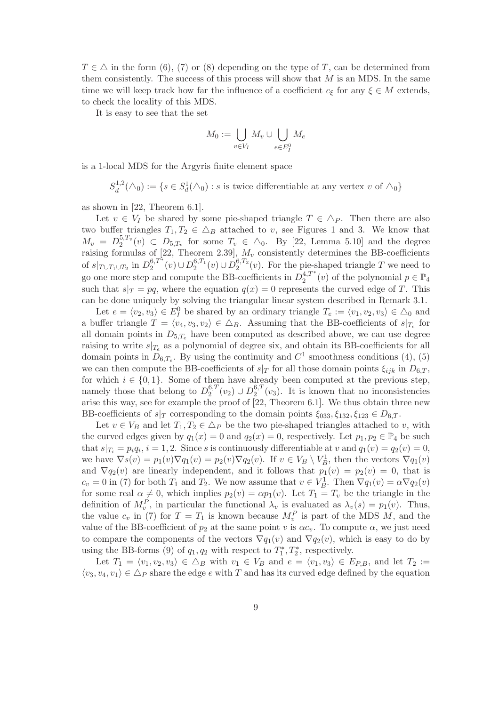$T \in \Delta$  in the form (6), (7) or (8) depending on the type of T, can be determined from them consistently. The success of this process will show that  $M$  is an MDS. In the same time we will keep track how far the influence of a coefficient  $c_{\xi}$  for any  $\xi \in M$  extends, to check the locality of this MDS.

It is easy to see that the set

$$
M_0 := \bigcup_{v \in V_I} M_v \cup \bigcup_{e \in E_I^0} M_e
$$

is a 1-local MDS for the Argyris finite element space

 $S_d^{1,2}$  $d_d^{1,2}(\triangle_0) := \{ s \in S_d^1(\triangle_0) : s \text{ is twice differentiable at any vertex } v \text{ of } \triangle_0 \}$ 

as shown in [22, Theorem 6.1].

Let  $v \in V_I$  be shared by some pie-shaped triangle  $T \in \Delta_P$ . Then there are also two buffer triangles  $T_1, T_2 \in \Delta_B$  attached to v, see Figures 1 and 3. We know that  $M_v = D_2^{5,T_v}$  $2^{5,t_v}(v) \subset D_{5,T_v}$  for some  $T_v \in \Delta_0$ . By [22, Lemma 5.10] and the degree raising formulas of [22, Theorem 2.39],  $M_v$  consistently determines the BB-coefficients of  $s|_{T \cup T_1 \cup T_2}$  in  $D_2^{6,T^*}$  $2^{6,T^*}(v) \cup D_2^{6,T_1}$  $2^{6,T_1}(v) \cup D_2^{6,T_2}$  $2^{0,12}(v)$ . For the pie-shaped triangle T we need to go one more step and compute the BB-coefficients in  $D_2^{4,T*}$  $a_2^{4,T^*}(v)$  of the polynomial  $p \in \mathbb{P}_4$ such that  $s|_T = pq$ , where the equation  $q(x) = 0$  represents the curved edge of T. This can be done uniquely by solving the triangular linear system described in Remark 3.1.

Let  $e = \langle v_2, v_3 \rangle \in E_I^0$  be shared by an ordinary triangle  $T_e := \langle v_1, v_2, v_3 \rangle \in \triangle_0$  and a buffer triangle  $T = \langle v_4, v_3, v_2 \rangle \in \Delta_B$ . Assuming that the BB-coefficients of  $s|_{T_e}$  for all domain points in  $D_{5,T_e}$  have been computed as described above, we can use degree raising to write  $s|_{T_e}$  as a polynomial of degree six, and obtain its BB-coefficients for all domain points in  $D_{6,T_e}$ . By using the continuity and  $C^1$  smoothness conditions (4), (5) we can then compute the BB-coefficients of  $s|_T$  for all those domain points  $\xi_{ijk}$  in  $D_{6,T}$ , for which  $i \in \{0,1\}$ . Some of them have already been computed at the previous step, namely those that belong to  $D_2^{6,T}$  $2^{6,T}(v_2) \cup D_2^{6,T}$  $2^{0,1}(v_3)$ . It is known that no inconsistencies arise this way, see for example the proof of [22, Theorem 6.1]. We thus obtain three new BB-coefficients of  $s|_T$  corresponding to the domain points  $\xi_{033}, \xi_{132}, \xi_{123} \in D_6$   $T$ .

Let  $v \in V_B$  and let  $T_1, T_2 \in \Delta_P$  be the two pie-shaped triangles attached to v, with the curved edges given by  $q_1(x) = 0$  and  $q_2(x) = 0$ , respectively. Let  $p_1, p_2 \in \mathbb{P}_4$  be such that  $s|_{T_i} = p_i q_i$ ,  $i = 1, 2$ . Since s is continuously differentiable at v and  $q_1(v) = q_2(v) = 0$ , we have  $\nabla s(v) = p_1(v)\nabla q_1(v) = p_2(v)\nabla q_2(v)$ . If  $v \in V_B \setminus V_B^1$ , then the vectors  $\nabla q_1(v)$ and  $\nabla q_2(v)$  are linearly independent, and it follows that  $p_1(v) = p_2(v) = 0$ , that is  $c_v = 0$  in (7) for both  $T_1$  and  $T_2$ . We now assume that  $v \in V_B^1$ . Then  $\nabla q_1(v) = \alpha \nabla q_2(v)$ for some real  $\alpha \neq 0$ , which implies  $p_2(v) = \alpha p_1(v)$ . Let  $T_1 = T_v$  be the triangle in the definition of  $M_v^P$ , in particular the functional  $\lambda_v$  is evaluated as  $\lambda_v(s) = p_1(v)$ . Thus, the value  $c_v$  in (7) for  $T = T_1$  is known because  $M_v^P$  is part of the MDS  $M$ , and the value of the BB-coefficient of  $p_2$  at the same point v is  $\alpha c_v$ . To compute  $\alpha$ , we just need to compare the components of the vectors  $\nabla q_1(v)$  and  $\nabla q_2(v)$ , which is easy to do by using the BB-forms (9) of  $q_1, q_2$  with respect to  $T_1^*, T_2^*$ , respectively.

Let  $T_1 = \langle v_1, v_2, v_3 \rangle \in \Delta_B$  with  $v_1 \in V_B$  and  $e = \langle v_1, v_3 \rangle \in E_{P,B}$ , and let  $T_2 :=$  $\langle v_3, v_4, v_1 \rangle \in \Delta_P$  share the edge e with T and has its curved edge defined by the equation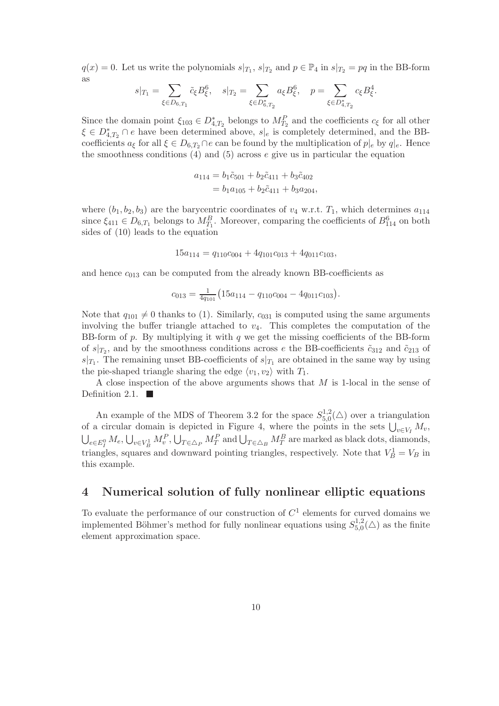$q(x) = 0$ . Let us write the polynomials  $s|_{T_1}, s|_{T_2}$  and  $p \in \mathbb{P}_4$  in  $s|_{T_2} = pq$  in the BB-form as

$$
s|_{T_1} = \sum_{\xi \in D_{6,T_1}} \tilde{c}_{\xi} B_{\xi}^6, \quad s|_{T_2} = \sum_{\xi \in D_{6,T_2}^*} a_{\xi} B_{\xi}^6, \quad p = \sum_{\xi \in D_{4,T_2}^*} c_{\xi} B_{\xi}^4.
$$

Since the domain point  $\xi_{103} \in D^*_{4,T_2}$  belongs to  $M_{T_2}^P$  and the coefficients  $c_{\xi}$  for all other  $\xi \in D_{4,T_2}^* \cap e$  have been determined above,  $s|_e$  is completely determined, and the BBcoefficients  $a_{\xi}$  for all  $\xi \in D_{6,T_2} \cap e$  can be found by the multiplication of  $p|_e$  by  $q|_e$ . Hence the smoothness conditions  $(4)$  and  $(5)$  across  $e$  give us in particular the equation

$$
a_{114} = b_1 \tilde{c}_{501} + b_2 \tilde{c}_{411} + b_3 \tilde{c}_{402}
$$
  
=  $b_1 a_{105} + b_2 \tilde{c}_{411} + b_3 a_{204}$ ,

where  $(b_1, b_2, b_3)$  are the barycentric coordinates of  $v_4$  w.r.t.  $T_1$ , which determines  $a_{114}$ since  $\xi_{411} \in D_{6,T_1}$  belongs to  $M_{T_1}^B$ . Moreover, comparing the coefficients of  $B_{114}^6$  on both sides of (10) leads to the equation

$$
15a_{114} = q_{110}c_{004} + 4q_{101}c_{013} + 4q_{011}c_{103},
$$

and hence  $c_{013}$  can be computed from the already known BB-coefficients as

$$
c_{013} = \frac{1}{4q_{101}} \left( 15a_{114} - q_{110}c_{004} - 4q_{011}c_{103} \right).
$$

Note that  $q_{101} \neq 0$  thanks to (1). Similarly,  $c_{031}$  is computed using the same arguments involving the buffer triangle attached to  $v_4$ . This completes the computation of the BB-form of  $p$ . By multiplying it with  $q$  we get the missing coefficients of the BB-form of  $s|_{T_2}$ , and by the smoothness conditions across e the BB-coefficients  $\tilde{c}_{312}$  and  $\tilde{c}_{213}$  of  $s|_{T_1}$ . The remaining unset BB-coefficients of  $s|_{T_1}$  are obtained in the same way by using the pie-shaped triangle sharing the edge  $\langle v_1, v_2 \rangle$  with  $T_1$ .

A close inspection of the above arguments shows that M is 1-local in the sense of Definition 2.1.  $\blacksquare$ 

An example of the MDS of Theorem 3.2 for the space  $S_{5,0}^{1,2}$  $_{5,0}^{1,2}(\triangle)$  over a triangulation of a circular domain is depicted in Figure 4, where the points in the sets  $\bigcup_{v \in V_I} M_v$ ,<br> $\bigcup_{v \in V} M_v$ ,  $\bigcup_{v \in V_I} M_v^P$ ,  $\bigcup_{v \in \Lambda} M_v^P$  and  $\bigcup_{v \in \Lambda} M_v^P$  are marked as black dots, diamonds.  $e \in E_I^0$   $M_e$ ,  $\bigcup_{v \in V_B^1} M_v^P$ ,  $\bigcup_{T \in \triangle_P} M_T^P$  and  $\bigcup_{T \in \triangle_B} M_T^B$  are marked as black dots, diamonds, triangles, squares and downward pointing triangles, respectively. Note that  $V_B^1 = V_B$  in this example.

## 4 Numerical solution of fully nonlinear elliptic equations

To evaluate the performance of our construction of  $C<sup>1</sup>$  elements for curved domains we implemented Böhmer's method for fully nonlinear equations using  $S_{5,0}^{1,2}$  $t_{5,0}^{1,2}(\triangle)$  as the finite element approximation space.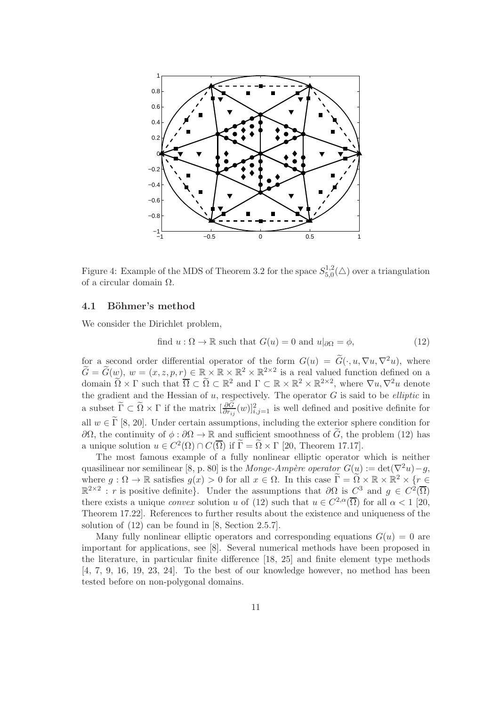

Figure 4: Example of the MDS of Theorem 3.2 for the space  $S_{5.0}^{1,2}$  $t_{5,0}^{1,2}(\triangle)$  over a triangulation of a circular domain Ω.

### 4.1 Böhmer's method

We consider the Dirichlet problem,

find 
$$
u : \Omega \to \mathbb{R}
$$
 such that  $G(u) = 0$  and  $u|_{\partial\Omega} = \phi$ , (12)

for a second order differential operator of the form  $G(u) = \tilde{G}(\cdot, u, \nabla u, \nabla^2 u)$ , where  $\widetilde{G} = \widetilde{G}(w)$ ,  $w = (x, z, p, r) \in \mathbb{R} \times \mathbb{R} \times \mathbb{R}^2 \times \mathbb{R}^{2 \times 2}$  is a real valued function defined on a domain  $\widetilde{\Omega} \times \Gamma$  such that  $\overline{\Omega} \subset \widetilde{\Omega} \subset \mathbb{R}^2$  and  $\Gamma \subset \mathbb{R} \times \mathbb{R}^2 \times \mathbb{R}^{2 \times 2}$ , where  $\nabla u, \nabla^2 u$  denote the gradient and the Hessian of  $u$ , respectively. The operator  $G$  is said to be *elliptic* in a subset  $\tilde{\Gamma} \subset \tilde{\Omega} \times \Gamma$  if the matrix  $\left[\frac{\partial \tilde{G}}{\partial r_{ij}}(w)\right]_{i,j=1}^2$  is well defined and positive definite for all  $w \in \tilde{\Gamma}$  [8, 20]. Under certain assumptions, including the exterior sphere condition for ∂Ω, the continuity of  $\phi : \partial\Omega \to \mathbb{R}$  and sufficient smoothness of  $\tilde{G}$ , the problem (12) has a unique solution  $u \in C^2(\Omega) \cap C(\overline{\Omega})$  if  $\widetilde{\Gamma} = \widetilde{\Omega} \times \Gamma$  [20, Theorem 17.17].

The most famous example of a fully nonlinear elliptic operator which is neither quasilinear nor semilinear [8, p. 80] is the Monge-Ampère operator  $G(u) := det(\nabla^2 u) - g$ , where  $g: \Omega \to \mathbb{R}$  satisfies  $g(x) > 0$  for all  $x \in \Omega$ . In this case  $\widetilde{\Gamma} = \widetilde{\Omega} \times \mathbb{R} \times \mathbb{R}^2 \times \{r \in \Omega\}$  $\mathbb{R}^{2\times 2}$ : r is positive definite}. Under the assumptions that  $\partial\Omega$  is  $C^3$  and  $g \in C^2(\overline{\Omega})$ there exists a unique *convex* solution u of (12) such that  $u \in C^{2,\alpha}(\overline{\Omega})$  for all  $\alpha < 1$  [20, Theorem 17.22]. References to further results about the existence and uniqueness of the solution of (12) can be found in [8, Section 2.5.7].

Many fully nonlinear elliptic operators and corresponding equations  $G(u) = 0$  are important for applications, see [8]. Several numerical methods have been proposed in the literature, in particular finite difference [18, 25] and finite element type methods [4, 7, 9, 16, 19, 23, 24]. To the best of our knowledge however, no method has been tested before on non-polygonal domains.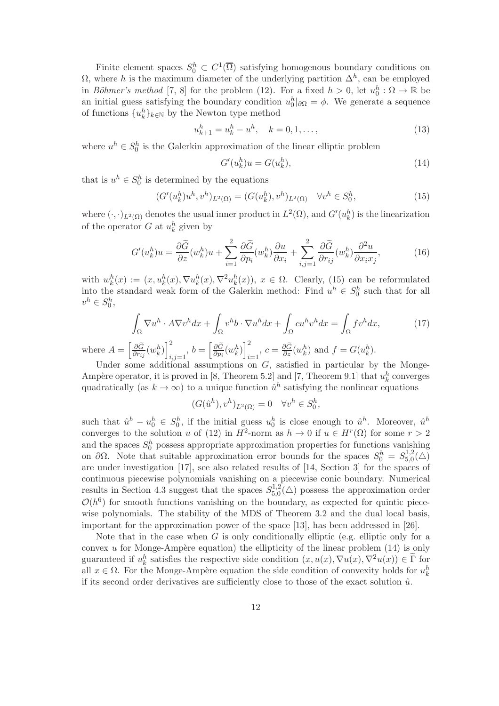Finite element spaces  $S_0^h \subset C^1(\overline{\Omega})$  satisfying homogenous boundary conditions on  $\Omega$ , where h is the maximum diameter of the underlying partition  $\Delta^h$ , can be employed in *Böhmer's method* [7, 8] for the problem (12). For a fixed  $h > 0$ , let  $u_0^h : \Omega \to \mathbb{R}$  be an initial guess satisfying the boundary condition  $u_0^h|_{\partial\Omega} = \phi$ . We generate a sequence of functions  $\{u_k^h\}_{k\in\mathbb{N}}$  by the Newton type method

$$
u_{k+1}^h = u_k^h - u^h, \quad k = 0, 1, \dots,
$$
\n(13)

where  $u^h \in S_0^h$  is the Galerkin approximation of the linear elliptic problem

$$
G'(u_k^h)u = G(u_k^h),\tag{14}
$$

that is  $u^h \in S_0^h$  is determined by the equations

$$
(G'(u_k^h)u^h, v^h)_{L^2(\Omega)} = (G(u_k^h), v^h)_{L^2(\Omega)} \quad \forall v^h \in S_0^h,
$$
\n(15)

where  $(\cdot, \cdot)_{L^2(\Omega)}$  denotes the usual inner product in  $L^2(\Omega)$ , and  $G'(u_k^h)$  is the linearization of the operator  $G$  at  $u_k^h$  given by

$$
G'(u_k^h)u = \frac{\partial \widetilde{G}}{\partial z}(w_k^h)u + \sum_{i=1}^2 \frac{\partial \widetilde{G}}{\partial p_i}(w_k^h)\frac{\partial u}{\partial x_i} + \sum_{i,j=1}^2 \frac{\partial \widetilde{G}}{\partial r_{ij}}(w_k^h)\frac{\partial^2 u}{\partial x_i x_j},\tag{16}
$$

with  $w_k^h(x) := (x, u_k^h(x), \nabla u_k^h(x), \nabla^2 u_k^h(x)), x \in \Omega$ . Clearly, (15) can be reformulated into the standard weak form of the Galerkin method: Find  $u^h \in S_0^h$  such that for all  $v^h \in S_0^h,$ 

$$
\int_{\Omega} \nabla u^h \cdot A \nabla v^h dx + \int_{\Omega} v^h b \cdot \nabla u^h dx + \int_{\Omega} c u^h v^h dx = \int_{\Omega} f v^h dx,
$$
 (17)

where  $A = \left[\frac{\partial \widetilde{G}}{\partial r}\right]$  $\frac{\partial \widetilde{G}}{\partial r_{ij}}(w_k^h)\bigg]_i^2$  $\sum_{i,j=1}^2, b = \left[\frac{\partial \widetilde{G}}{\partial p_i}\right]$  $\frac{\partial \widetilde{G}}{\partial p_i} (w^h_k)\bigg]_i^2$  $\sum_{i=1}^{2}$ ,  $c = \frac{\partial \tilde{G}}{\partial z}(w_k^h)$  and  $f = G(u_k^h)$ .

Under some additional assumptions on  $G$ , satisfied in particular by the Monge-Ampère operator, it is proved in [8, Theorem 5.2] and [7, Theorem 9.1] that  $u_k^h$  converges quadratically (as  $k \to \infty$ ) to a unique function  $\hat{u}^h$  satisfying the nonlinear equations

$$
(G(\hat{u}^h), v^h)_{L^2(\Omega)} = 0 \quad \forall v^h \in S_0^h,
$$

such that  $\hat{u}^h - u_0^h \in S_0^h$ , if the initial guess  $u_0^h$  is close enough to  $\hat{u}^h$ . Moreover,  $\hat{u}^h$ converges to the solution u of (12) in  $H^2$ -norm as  $h \to 0$  if  $u \in H^r(\Omega)$  for some  $r > 2$ and the spaces  $S_0^h$  possess appropriate approximation properties for functions vanishing on  $\partial\Omega$ . Note that suitable approximation error bounds for the spaces  $S_0^h = S_{5,0}^{1,2}$  $_{5,0}^{1,2}(\triangle)$ are under investigation [17], see also related results of [14, Section 3] for the spaces of continuous piecewise polynomials vanishing on a piecewise conic boundary. Numerical results in Section 4.3 suggest that the spaces  $S_{5,0}^{1,2}$  $_{5,0}^{1,2}(\triangle)$  possess the approximation order  $\mathcal{O}(h^6)$  for smooth functions vanishing on the boundary, as expected for quintic piecewise polynomials. The stability of the MDS of Theorem 3.2 and the dual local basis, important for the approximation power of the space [13], has been addressed in [26].

Note that in the case when  $G$  is only conditionally elliptic (e.g. elliptic only for a convex u for Monge-Ampère equation) the ellipticity of the linear problem  $(14)$  is only guaranteed if  $u_k^h$  satisfies the respective side condition  $(x, u(x), \nabla u(x), \nabla^2 u(x)) \in \tilde{\Gamma}$  for all  $x \in \Omega$ . For the Monge-Ampère equation the side condition of convexity holds for  $u_k^h$ if its second order derivatives are sufficiently close to those of the exact solution  $\hat{u}$ .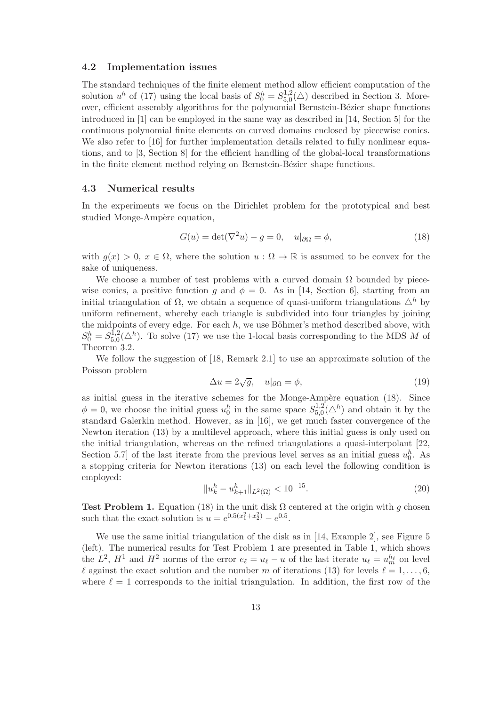#### 4.2 Implementation issues

The standard techniques of the finite element method allow efficient computation of the solution  $u^h$  of (17) using the local basis of  $S_0^h = S_{5,0}^{1,2}$  $_{5,0}^{1,2}(\triangle)$  described in Section 3. Moreover, efficient assembly algorithms for the polynomial Bernstein-Bézier shape functions introduced in [1] can be employed in the same way as described in [14, Section 5] for the continuous polynomial finite elements on curved domains enclosed by piecewise conics. We also refer to [16] for further implementation details related to fully nonlinear equations, and to [3, Section 8] for the efficient handling of the global-local transformations in the finite element method relying on Bernstein-Bézier shape functions.

## 4.3 Numerical results

In the experiments we focus on the Dirichlet problem for the prototypical and best studied Monge-Ampère equation,

$$
G(u) = \det(\nabla^2 u) - g = 0, \quad u|_{\partial\Omega} = \phi,
$$
\n(18)

with  $g(x) > 0$ ,  $x \in \Omega$ , where the solution  $u : \Omega \to \mathbb{R}$  is assumed to be convex for the sake of uniqueness.

We choose a number of test problems with a curved domain  $\Omega$  bounded by piecewise conics, a positive function g and  $\phi = 0$ . As in [14, Section 6], starting from an initial triangulation of  $\Omega$ , we obtain a sequence of quasi-uniform triangulations  $\Delta^h$  by uniform refinement, whereby each triangle is subdivided into four triangles by joining the midpoints of every edge. For each  $h$ , we use Böhmer's method described above, with  $S_0^h = S_{5,0}^{\bar{1},2}$  $_{5,0}^{1,2}(\triangle^h)$ . To solve (17) we use the 1-local basis corresponding to the MDS M of Theorem 3.2.

We follow the suggestion of [18, Remark 2.1] to use an approximate solution of the Poisson problem

$$
\Delta u = 2\sqrt{g}, \quad u|_{\partial\Omega} = \phi,\tag{19}
$$

as initial guess in the iterative schemes for the Monge-Ampère equation (18). Since  $\phi = 0$ , we choose the initial guess  $u_0^h$  in the same space  $S_{5,0}^{1,2}$  $^{1,2}_{5,0}(\triangle^h)$  and obtain it by the standard Galerkin method. However, as in [16], we get much faster convergence of the Newton iteration (13) by a multilevel approach, where this initial guess is only used on the initial triangulation, whereas on the refined triangulations a quasi-interpolant [22, Section 5.7 of the last iterate from the previous level serves as an initial guess  $u_0^h$ . As a stopping criteria for Newton iterations (13) on each level the following condition is employed:

$$
||u_k^h - u_{k+1}^h||_{L^2(\Omega)} < 10^{-15}.\tag{20}
$$

Test Problem 1. Equation (18) in the unit disk  $\Omega$  centered at the origin with g chosen such that the exact solution is  $u = e^{0.5(x_1^2 + x_2^2)} - e^{0.5}$ .

We use the same initial triangulation of the disk as in [14, Example 2], see Figure 5 (left). The numerical results for Test Problem 1 are presented in Table 1, which shows the  $L^2$ ,  $H^1$  and  $H^2$  norms of the error  $e_{\ell} = u_{\ell} - u$  of the last iterate  $u_{\ell} = u_m^{h_{\ell}}$  on level l against the exact solution and the number m of iterations (13) for levels  $l = 1, \ldots, 6$ , where  $\ell = 1$  corresponds to the initial triangulation. In addition, the first row of the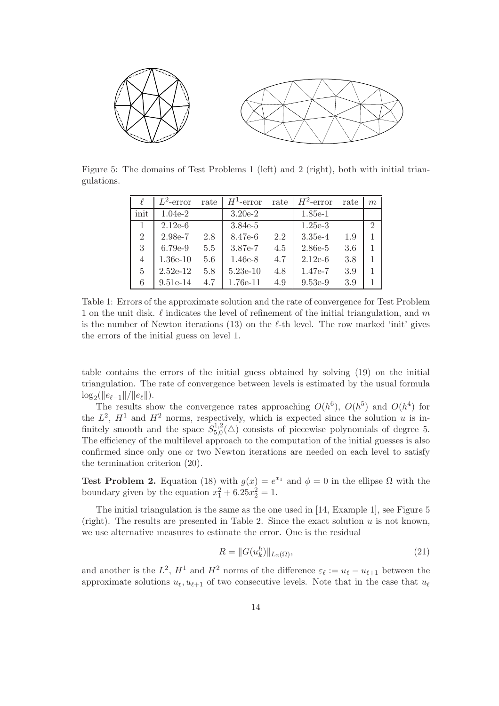

Figure 5: The domains of Test Problems 1 (left) and 2 (right), both with initial triangulations.

|                | $\overline{L}^2$ -error | rate    | $H^1$ -error | rate | $H^2$ -error | rate | m             |
|----------------|-------------------------|---------|--------------|------|--------------|------|---------------|
| init           | $1.04e-2$               |         | $3.20e-2$    |      | $1.85e-1$    |      |               |
|                | $2.12e-6$               |         | $3.84e-5$    |      | $1.25e-3$    |      | $\mathcal{D}$ |
| $\overline{2}$ | 2.98e-7                 | 2.8     | 8.47e-6      | 2.2  | $3.35e-4$    | 1.9  |               |
| 3              | $6.79e-9$               | 5.5     | 3.87e-7      | 4.5  | 2.86e-5      | 3.6  |               |
| 4              | $1.36e-10$              | $5.6\,$ | $1.46e-8$    | 4.7  | $2.12e-6$    | 3.8  |               |
| 5              | $2.52e-12$              | 5.8     | $5.23e-10$   | 4.8  | 1.47e-7      | 3.9  |               |
| 6              | $9.51e-14$              | 4.7     | 1.76e-11     | 4.9  | $9.53e-9$    | 3.9  |               |

Table 1: Errors of the approximate solution and the rate of convergence for Test Problem 1 on the unit disk.  $\ell$  indicates the level of refinement of the initial triangulation, and m is the number of Newton iterations (13) on the  $\ell$ -th level. The row marked 'init' gives the errors of the initial guess on level 1.

table contains the errors of the initial guess obtained by solving (19) on the initial triangulation. The rate of convergence between levels is estimated by the usual formula  $\log_2(||e_{\ell-1}||/||e_{\ell}||).$ 

The results show the convergence rates approaching  $O(h^6)$ ,  $O(h^5)$  and  $O(h^4)$  for the  $L^2$ ,  $H^1$  and  $H^2$  norms, respectively, which is expected since the solution u is infinitely smooth and the space  $S_{5,0}^{1,2}$  $5.5^{1,2}_{0}(\triangle)$  consists of piecewise polynomials of degree 5. The efficiency of the multilevel approach to the computation of the initial guesses is also confirmed since only one or two Newton iterations are needed on each level to satisfy the termination criterion (20).

**Test Problem 2.** Equation (18) with  $g(x) = e^{x_1}$  and  $\phi = 0$  in the ellipse  $\Omega$  with the boundary given by the equation  $x_1^2 + 6.25x_2^2 = 1$ .

The initial triangulation is the same as the one used in [14, Example 1], see Figure 5 (right). The results are presented in Table 2. Since the exact solution  $u$  is not known, we use alternative measures to estimate the error. One is the residual

$$
R = ||G(u_k^h)||_{L_2(\Omega)},
$$
\n(21)

and another is the  $L^2$ ,  $H^1$  and  $H^2$  norms of the difference  $\varepsilon_\ell := u_\ell - u_{\ell+1}$  between the approximate solutions  $u_{\ell}, u_{\ell+1}$  of two consecutive levels. Note that in the case that  $u_{\ell}$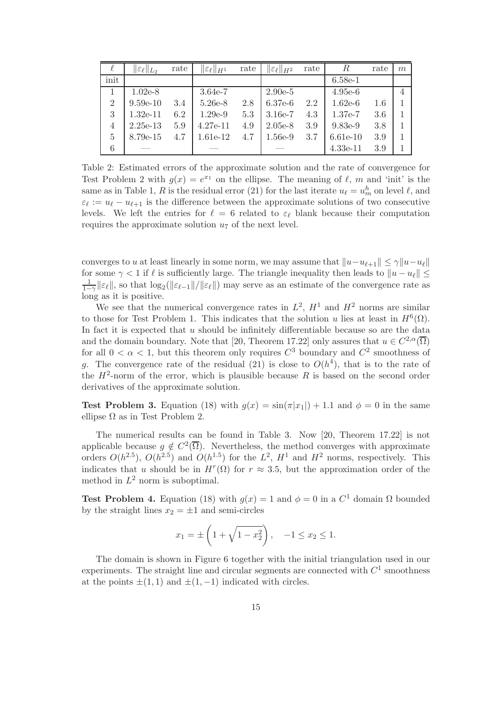| ł              | $\ \varepsilon_\ell\ _{L_2}$ | rate | $\ \varepsilon_\ell\ _{H^1}$ | rate | $\ \varepsilon_\ell\ _{H^2}$ | rate | $\boldsymbol{R}$ | rate | m |
|----------------|------------------------------|------|------------------------------|------|------------------------------|------|------------------|------|---|
| init           |                              |      |                              |      |                              |      | $6.58e-1$        |      |   |
|                | $1.02e-8$                    |      | $3.64e-7$                    |      | $2.90e-5$                    |      | $4.95e-6$        |      | 4 |
| $\overline{2}$ | $9.59e-10$                   | 3.4  | 5.26e-8                      | 2.8  | $6.37e-6$                    | 2.2  | $1.62e-6$        | 1.6  |   |
| 3              | $1.32e-11$                   | 6.2  | $1.29e-9$                    | 5.3  | $3.16e-7$                    | 4.3  | $1.37e-7$        | 3.6  |   |
| $\overline{4}$ | $2.25e-13$                   | 5.9  | $4.27e-11$                   | 4.9  | $2.05e-8$                    | 3.9  | $9.83e-9$        | 3.8  |   |
| $\overline{5}$ | 8.79e-15                     | 4.7  | 1.61e-12                     | 4.7  | $1.56e-9$                    | 3.7  | $6.61e-10$       | 3.9  |   |
| 6              |                              |      |                              |      |                              |      | $4.33e-11$       | 3.9  |   |

Table 2: Estimated errors of the approximate solution and the rate of convergence for Test Problem 2 with  $g(x) = e^{x_1}$  on the ellipse. The meaning of  $\ell$ , m and 'init' is the same as in Table 1, R is the residual error (21) for the last iterate  $u_{\ell} = u_m^h$  on level  $\ell$ , and  $\varepsilon_{\ell} := u_{\ell} - u_{\ell+1}$  is the difference between the approximate solutions of two consecutive levels. We left the entries for  $\ell = 6$  related to  $\varepsilon_{\ell}$  blank because their computation requires the approximate solution  $u_7$  of the next level.

converges to u at least linearly in some norm, we may assume that  $||u-u_{\ell+1}|| \leq \gamma ||u-u_{\ell}||$ for some  $\gamma$  < 1 if  $\ell$  is sufficiently large. The triangle inequality then leads to  $||u - u_{\ell}|| \le$  $\frac{1}{1-\gamma}$ | $\varepsilon_{\ell}$ ||, so that  $\log_2(\|\varepsilon_{\ell-1}\|/\|\varepsilon_{\ell}\|)$  may serve as an estimate of the convergence rate as long as it is positive.

We see that the numerical convergence rates in  $L^2$ ,  $H^1$  and  $H^2$  norms are similar to those for Test Problem 1. This indicates that the solution u lies at least in  $H^6(\Omega)$ . In fact it is expected that  $u$  should be infinitely differentiable because so are the data and the domain boundary. Note that [20, Theorem 17.22] only assures that  $u \in C^{2,\alpha}(\overline{\Omega})$ for all  $0 < \alpha < 1$ , but this theorem only requires  $C^3$  boundary and  $C^2$  smoothness of g. The convergence rate of the residual (21) is close to  $O(h^4)$ , that is to the rate of the  $H^2$ -norm of the error, which is plausible because R is based on the second order derivatives of the approximate solution.

**Test Problem 3.** Equation (18) with  $g(x) = \sin(\pi|x_1|) + 1.1$  and  $\phi = 0$  in the same ellipse  $\Omega$  as in Test Problem 2.

The numerical results can be found in Table 3. Now [20, Theorem 17.22] is not applicable because  $g \notin C^2(\overline{\Omega})$ . Nevertheless, the method converges with approximate orders  $O(h^{2.5})$ ,  $O(h^{2.5})$  and  $O(h^{1.5})$  for the  $L^2$ ,  $H^1$  and  $H^2$  norms, respectively. This indicates that u should be in  $H^r(\Omega)$  for  $r \approx 3.5$ , but the approximation order of the method in  $L^2$  norm is suboptimal.

**Test Problem 4.** Equation (18) with  $g(x) = 1$  and  $\phi = 0$  in a  $C^1$  domain  $\Omega$  bounded by the straight lines  $x_2 = \pm 1$  and semi-circles

$$
x_1 = \pm \left(1 + \sqrt{1 - x_2^2}\right), \quad -1 \le x_2 \le 1.
$$

The domain is shown in Figure 6 together with the initial triangulation used in our experiments. The straight line and circular segments are connected with  $C^1$  smoothness at the points  $\pm(1, 1)$  and  $\pm(1, -1)$  indicated with circles.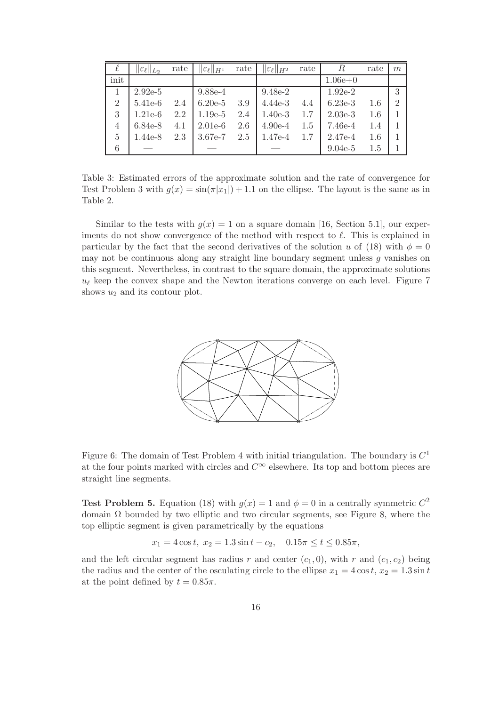| ł              | $\ \varepsilon_\ell\ _{L_2}$ | rate | $\ \varepsilon_\ell\ _{H^1}$ | rate | $\ \varepsilon_\ell\ _{H^2}$ | rate | R         | rate | m             |
|----------------|------------------------------|------|------------------------------|------|------------------------------|------|-----------|------|---------------|
| init           |                              |      |                              |      |                              |      | $1.06e+0$ |      |               |
| 1              | $2.92e-5$                    |      | 9.88e-4                      |      | 9.48e-2                      |      | $1.92e-2$ |      | 3             |
| $\overline{2}$ | $5.41e-6$                    | 2.4  | $6.20e-5$                    | 3.9  | $4.44e-3$                    | 4.4  | $6.23e-3$ | 1.6  | $\mathcal{D}$ |
| 3              | $1.21e-6$                    | 2.2  | $1.19e-5$                    | 2.4  | $1.40e-3$                    | 1.7  | $2.03e-3$ | 1.6  |               |
| $\overline{4}$ | 6.84e-8                      | 4.1  | $2.01e-6$                    | 2.6  | $4.90e-4$                    | 1.5  | 7.46e-4   | 1.4  |               |
| 5              | $1.44e-8$                    | 2.3  | 3.67e-7                      | 2.5  | $1.47e-4$                    | 1.7  | $2.47e-4$ | 1.6  |               |
| 6              |                              |      |                              |      |                              |      | $9.04e-5$ | 1.5  |               |

Table 3: Estimated errors of the approximate solution and the rate of convergence for Test Problem 3 with  $g(x) = \sin(\pi|x_1|) + 1.1$  on the ellipse. The layout is the same as in Table 2.

Similar to the tests with  $g(x) = 1$  on a square domain [16, Section 5.1], our experiments do not show convergence of the method with respect to  $\ell$ . This is explained in particular by the fact that the second derivatives of the solution u of (18) with  $\phi = 0$ may not be continuous along any straight line boundary segment unless g vanishes on this segment. Nevertheless, in contrast to the square domain, the approximate solutions  $u_{\ell}$  keep the convex shape and the Newton iterations converge on each level. Figure 7 shows  $u_2$  and its contour plot.



Figure 6: The domain of Test Problem 4 with initial triangulation. The boundary is  $C^1$ at the four points marked with circles and  $C^{\infty}$  elsewhere. Its top and bottom pieces are straight line segments.

**Test Problem 5.** Equation (18) with  $g(x) = 1$  and  $\phi = 0$  in a centrally symmetric  $C^2$ domain  $\Omega$  bounded by two elliptic and two circular segments, see Figure 8, where the top elliptic segment is given parametrically by the equations

$$
x_1 = 4\cos t, \ x_2 = 1.3\sin t - c_2, \quad 0.15\pi \le t \le 0.85\pi,
$$

and the left circular segment has radius r and center  $(c_1, 0)$ , with r and  $(c_1, c_2)$  being the radius and the center of the osculating circle to the ellipse  $x_1 = 4 \cos t$ ,  $x_2 = 1.3 \sin t$ at the point defined by  $t = 0.85\pi$ .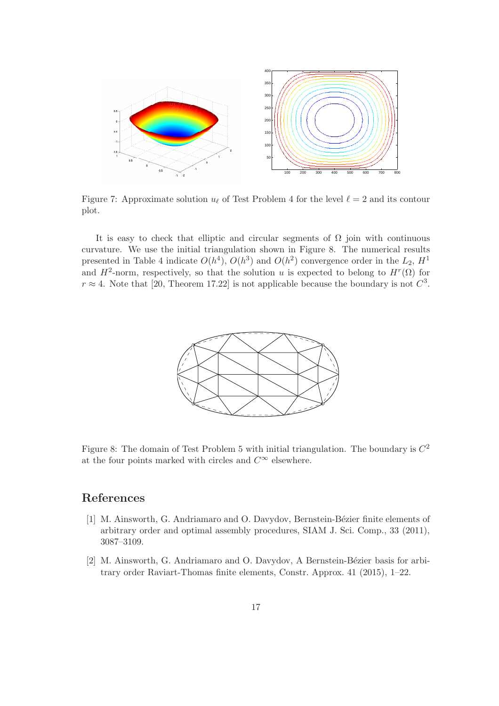

Figure 7: Approximate solution  $u_{\ell}$  of Test Problem 4 for the level  $\ell = 2$  and its contour plot.

It is easy to check that elliptic and circular segments of  $\Omega$  join with continuous curvature. We use the initial triangulation shown in Figure 8. The numerical results presented in Table 4 indicate  $O(h^4)$ ,  $O(h^3)$  and  $O(h^2)$  convergence order in the  $L_2$ ,  $H^1$ and  $H^2$ -norm, respectively, so that the solution u is expected to belong to  $H^r(\Omega)$  for  $r \approx 4$ . Note that [20, Theorem 17.22] is not applicable because the boundary is not  $C^3$ .



Figure 8: The domain of Test Problem 5 with initial triangulation. The boundary is  $C^2$ at the four points marked with circles and  $C^{\infty}$  elsewhere.

## References

- [1] M. Ainsworth, G. Andriamaro and O. Davydov, Bernstein-Bézier finite elements of arbitrary order and optimal assembly procedures, SIAM J. Sci. Comp., 33 (2011), 3087–3109.
- [2] M. Ainsworth, G. Andriamaro and O. Davydov, A Bernstein-Bézier basis for arbitrary order Raviart-Thomas finite elements, Constr. Approx. 41 (2015), 1–22.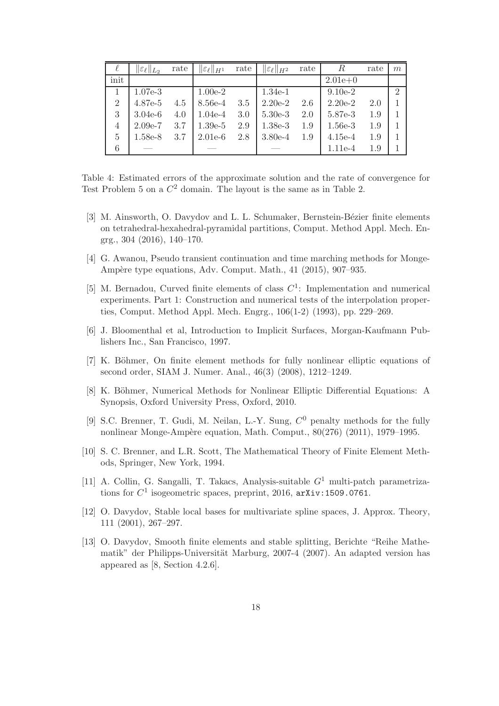| $\ell$         | $\ \varepsilon_\ell\ _{L_2}$ | rate | $\ \varepsilon_\ell\ _{H^1}$ | rate | $\ \varepsilon_\ell\ _{H^2}$ | rate | $\boldsymbol{R}$ | rate | m             |
|----------------|------------------------------|------|------------------------------|------|------------------------------|------|------------------|------|---------------|
| init           |                              |      |                              |      |                              |      | $2.01e+0$        |      |               |
|                | $1.07e-3$                    |      | $1.00e-2$                    |      | $1.34e-1$                    |      | $9.10e-2$        |      | $\mathcal{D}$ |
| $\overline{2}$ | 4.87e-5                      | 4.5  | 8.56e-4                      | 3.5  | $2.20e-2$                    | 2.6  | $2.20e-2$        | 2.0  |               |
| 3              | $3.04e-6$                    | 4.0  | $1.04e-4$                    | 3.0  | $5.30e-3$                    | 2.0  | 5.87e-3          | 1.9  |               |
| $\overline{4}$ | $2.09e-7$                    | 3.7  | $1.39e-5$                    | 2.9  | $1.38e-3$                    | 1.9  | $1.56e-3$        | 1.9  |               |
| 5              | 1.58e-8                      | 3.7  | $2.01e-6$                    | 2.8  | $3.80e-4$                    | 1.9  | $4.15e-4$        | 1.9  |               |
| 6              |                              |      |                              |      |                              |      | 1.11e-4          | 1.9  |               |

Table 4: Estimated errors of the approximate solution and the rate of convergence for Test Problem 5 on a  $C^2$  domain. The layout is the same as in Table 2.

- [3] M. Ainsworth, O. Davydov and L. L. Schumaker, Bernstein-Bézier finite elements on tetrahedral-hexahedral-pyramidal partitions, Comput. Method Appl. Mech. Engrg., 304 (2016), 140–170.
- [4] G. Awanou, Pseudo transient continuation and time marching methods for Monge-Ampère type equations, Adv. Comput. Math., 41 (2015), 907–935.
- [5] M. Bernadou, Curved finite elements of class  $C<sup>1</sup>$ : Implementation and numerical experiments. Part 1: Construction and numerical tests of the interpolation properties, Comput. Method Appl. Mech. Engrg., 106(1-2) (1993), pp. 229–269.
- [6] J. Bloomenthal et al, Introduction to Implicit Surfaces, Morgan-Kaufmann Publishers Inc., San Francisco, 1997.
- [7] K. Böhmer, On finite element methods for fully nonlinear elliptic equations of second order, SIAM J. Numer. Anal., 46(3) (2008), 1212–1249.
- [8] K. Böhmer, Numerical Methods for Nonlinear Elliptic Differential Equations: A Synopsis, Oxford University Press, Oxford, 2010.
- [9] S.C. Brenner, T. Gudi, M. Neilan, L.-Y. Sung,  $C^0$  penalty methods for the fully nonlinear Monge-Ampère equation, Math. Comput., 80(276) (2011), 1979–1995.
- [10] S. C. Brenner, and L.R. Scott, The Mathematical Theory of Finite Element Methods, Springer, New York, 1994.
- [11] A. Collin, G. Sangalli, T. Takacs, Analysis-suitable  $G^1$  multi-patch parametrizations for  $C^1$  isogeometric spaces, preprint, 2016,  $arXiv:1509.0761$ .
- [12] O. Davydov, Stable local bases for multivariate spline spaces, J. Approx. Theory, 111 (2001), 267–297.
- [13] O. Davydov, Smooth finite elements and stable splitting, Berichte "Reihe Mathematik" der Philipps-Universität Marburg, 2007-4 (2007). An adapted version has appeared as [8, Section 4.2.6].